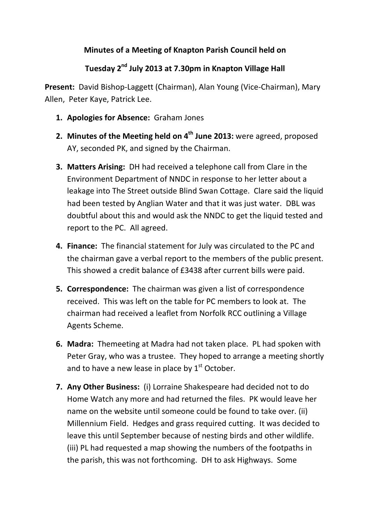## **Minutes of a Meeting of Knapton Parish Council held on**

## **Tuesday 2nd July 2013 at 7.30pm in Knapton Village Hall**

**Present:** David Bishop-Laggett (Chairman), Alan Young (Vice-Chairman), Mary Allen, Peter Kaye, Patrick Lee.

- **1. Apologies for Absence:** Graham Jones
- **2. Minutes of the Meeting held on 4<sup>th</sup> June 2013:** were agreed, proposed AY, seconded PK, and signed by the Chairman.
- **3. Matters Arising:** DH had received a telephone call from Clare in the Environment Department of NNDC in response to her letter about a leakage into The Street outside Blind Swan Cottage. Clare said the liquid had been tested by Anglian Water and that it was just water. DBL was doubtful about this and would ask the NNDC to get the liquid tested and report to the PC. All agreed.
- **4. Finance:** The financial statement for July was circulated to the PC and the chairman gave a verbal report to the members of the public present. This showed a credit balance of £3438 after current bills were paid.
- **5. Correspondence:** The chairman was given a list of correspondence received. This was left on the table for PC members to look at. The chairman had received a leaflet from Norfolk RCC outlining a Village Agents Scheme.
- **6. Madra:** Themeeting at Madra had not taken place. PL had spoken with Peter Gray, who was a trustee. They hoped to arrange a meeting shortly and to have a new lease in place by  $1<sup>st</sup>$  October.
- **7. Any Other Business:** (i) Lorraine Shakespeare had decided not to do Home Watch any more and had returned the files. PK would leave her name on the website until someone could be found to take over. (ii) Millennium Field. Hedges and grass required cutting. It was decided to leave this until September because of nesting birds and other wildlife. (iii) PL had requested a map showing the numbers of the footpaths in the parish, this was not forthcoming. DH to ask Highways. Some